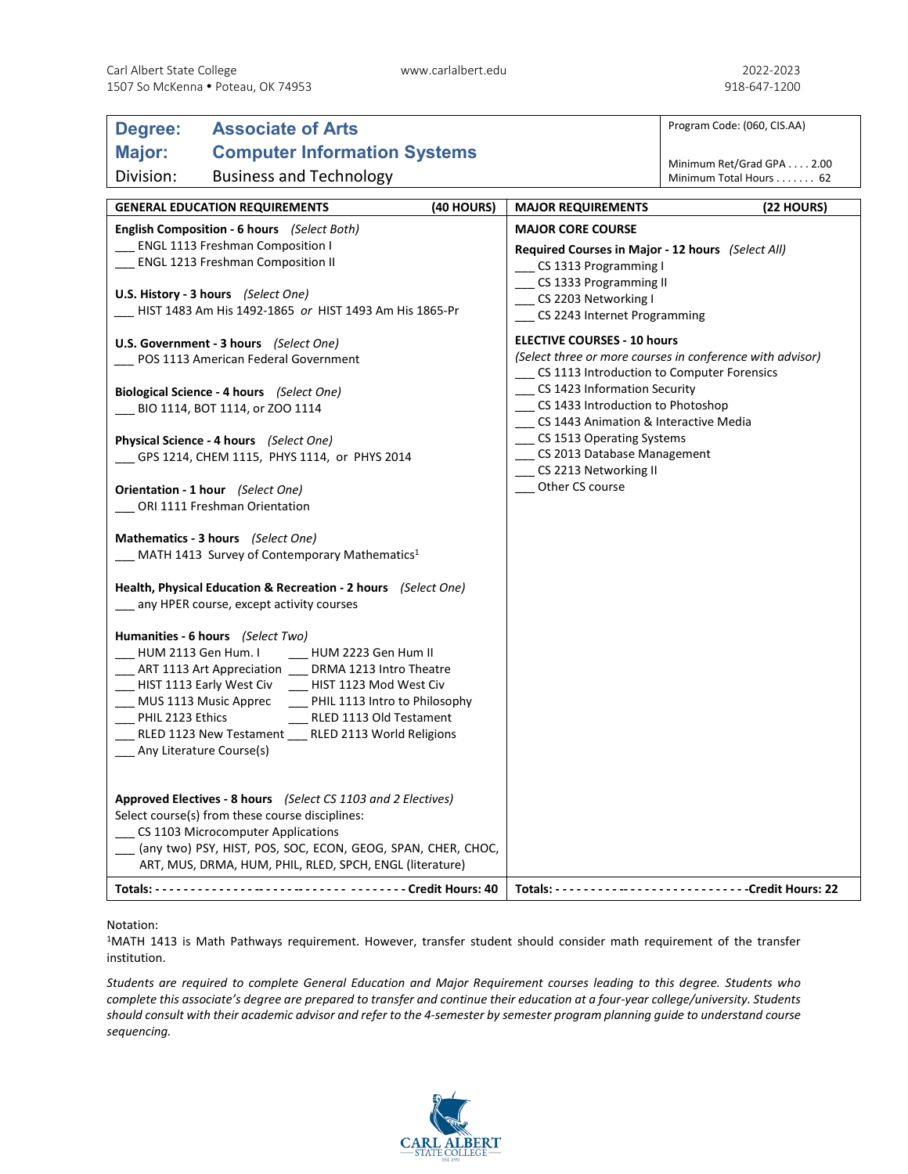| Degree:                                                                                                          | <b>Associate of Arts</b>                                        |  |                                                                              | Program Code: (060, CIS.AA)                         |
|------------------------------------------------------------------------------------------------------------------|-----------------------------------------------------------------|--|------------------------------------------------------------------------------|-----------------------------------------------------|
| Major:<br><b>Computer Information Systems</b>                                                                    |                                                                 |  |                                                                              |                                                     |
| Division:                                                                                                        | <b>Business and Technology</b>                                  |  |                                                                              | Minimum Ret/Grad GPA 2.00<br>Minimum Total Hours 62 |
|                                                                                                                  |                                                                 |  |                                                                              |                                                     |
| <b>GENERAL EDUCATION REQUIREMENTS</b><br>(40 HOURS)                                                              |                                                                 |  | (22 HOURS)<br><b>MAJOR REQUIREMENTS</b>                                      |                                                     |
| English Composition - 6 hours (Select Both)<br><b>ENGL 1113 Freshman Composition I</b>                           |                                                                 |  | <b>MAJOR CORE COURSE</b>                                                     |                                                     |
| ENGL 1213 Freshman Composition II                                                                                |                                                                 |  | Required Courses in Major - 12 hours (Select All)<br>_ CS 1313 Programming I |                                                     |
| U.S. History - 3 hours (Select One)                                                                              |                                                                 |  | CS 1333 Programming II<br>CS 2203 Networking I                               |                                                     |
| HIST 1483 Am His 1492-1865 or HIST 1493 Am His 1865-Pr                                                           |                                                                 |  | _ CS 2243 Internet Programming                                               |                                                     |
| U.S. Government - 3 hours (Select One)                                                                           |                                                                 |  | <b>ELECTIVE COURSES - 10 hours</b>                                           |                                                     |
| POS 1113 American Federal Government                                                                             |                                                                 |  | (Select three or more courses in conference with advisor)                    |                                                     |
|                                                                                                                  |                                                                 |  | CS 1113 Introduction to Computer Forensics<br>_CS 1423 Information Security  |                                                     |
| Biological Science - 4 hours (Select One)<br>BIO 1114, BOT 1114, or ZOO 1114                                     |                                                                 |  | CS 1433 Introduction to Photoshop                                            |                                                     |
|                                                                                                                  |                                                                 |  | CS 1443 Animation & Interactive Media                                        |                                                     |
| Physical Science - 4 hours (Select One)                                                                          |                                                                 |  | __ CS 1513 Operating Systems<br>__ CS 2013 Database Management               |                                                     |
|                                                                                                                  | CPS 1214, CHEM 1115, PHYS 1114, or PHYS 2014                    |  | __ CS 2213 Networking II                                                     |                                                     |
| Orientation - 1 hour (Select One)                                                                                |                                                                 |  | Other CS course                                                              |                                                     |
| ORI 1111 Freshman Orientation                                                                                    |                                                                 |  |                                                                              |                                                     |
| Mathematics - 3 hours (Select One)                                                                               |                                                                 |  |                                                                              |                                                     |
| MATH 1413 Survey of Contemporary Mathematics <sup>1</sup>                                                        |                                                                 |  |                                                                              |                                                     |
|                                                                                                                  |                                                                 |  |                                                                              |                                                     |
| Health, Physical Education & Recreation - 2 hours (Select One)<br>_ any HPER course, except activity courses     |                                                                 |  |                                                                              |                                                     |
|                                                                                                                  |                                                                 |  |                                                                              |                                                     |
|                                                                                                                  | Humanities - 6 hours (Select Two)                               |  |                                                                              |                                                     |
| ___ HUM 2113 Gen Hum. I<br>__ HUM 2223 Gen Hum II<br>___ ART 1113 Art Appreciation ___ DRMA 1213 Intro Theatre   |                                                                 |  |                                                                              |                                                     |
|                                                                                                                  | ___ HIST 1113 Early West Civ ____ HIST 1123 Mod West Civ        |  |                                                                              |                                                     |
| __ MUS 1113 Music Apprec<br>__ PHIL 1113 Intro to Philosophy                                                     |                                                                 |  |                                                                              |                                                     |
| PHIL 2123 Ethics<br>RLED 1113 Old Testament                                                                      |                                                                 |  |                                                                              |                                                     |
| RLED 1123 New Testament __ RLED 2113 World Religions<br>___ Any Literature Course(s)                             |                                                                 |  |                                                                              |                                                     |
|                                                                                                                  |                                                                 |  |                                                                              |                                                     |
|                                                                                                                  |                                                                 |  |                                                                              |                                                     |
| Approved Electives - 8 hours (Select CS 1103 and 2 Electives)<br>Select course(s) from these course disciplines: |                                                                 |  |                                                                              |                                                     |
| CS 1103 Microcomputer Applications                                                                               |                                                                 |  |                                                                              |                                                     |
|                                                                                                                  | __ (any two) PSY, HIST, POS, SOC, ECON, GEOG, SPAN, CHER, CHOC, |  |                                                                              |                                                     |
|                                                                                                                  | ART, MUS, DRMA, HUM, PHIL, RLED, SPCH, ENGL (literature)        |  |                                                                              |                                                     |
|                                                                                                                  | Totals: ---------------------------- ------ Credit Hours: 40    |  |                                                                              |                                                     |

## Notation:

1MATH 1413 is Math Pathways requirement. However, transfer student should consider math requirement of the transfer institution.

*Students are required to complete General Education and Major Requirement courses leading to this degree. Students who complete this associate's degree are prepared to transfer and continue their education at a four-year college/university. Students should consult with their academic advisor and refer to the 4-semester by semester program planning guide to understand course sequencing.*